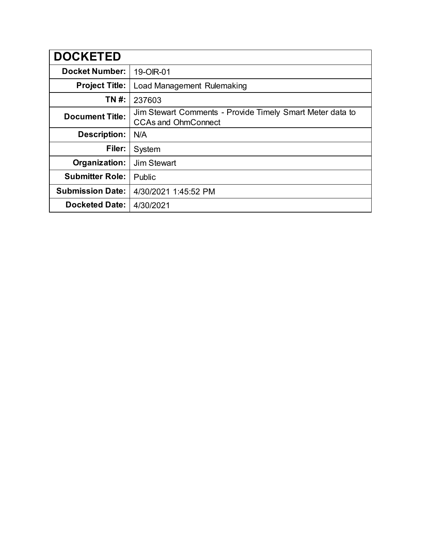| <b>DOCKETED</b>         |                                                                                         |
|-------------------------|-----------------------------------------------------------------------------------------|
| <b>Docket Number:</b>   | 19-OIR-01                                                                               |
| <b>Project Title:</b>   | Load Management Rulemaking                                                              |
| TN #:                   | 237603                                                                                  |
| <b>Document Title:</b>  | Jim Stewart Comments - Provide Timely Smart Meter data to<br><b>CCAs and OhmConnect</b> |
| <b>Description:</b>     | N/A                                                                                     |
| Filer:                  | System                                                                                  |
| Organization:           | Jim Stewart                                                                             |
| <b>Submitter Role:</b>  | Public                                                                                  |
| <b>Submission Date:</b> | 4/30/2021 1:45:52 PM                                                                    |
| <b>Docketed Date:</b>   | 4/30/2021                                                                               |